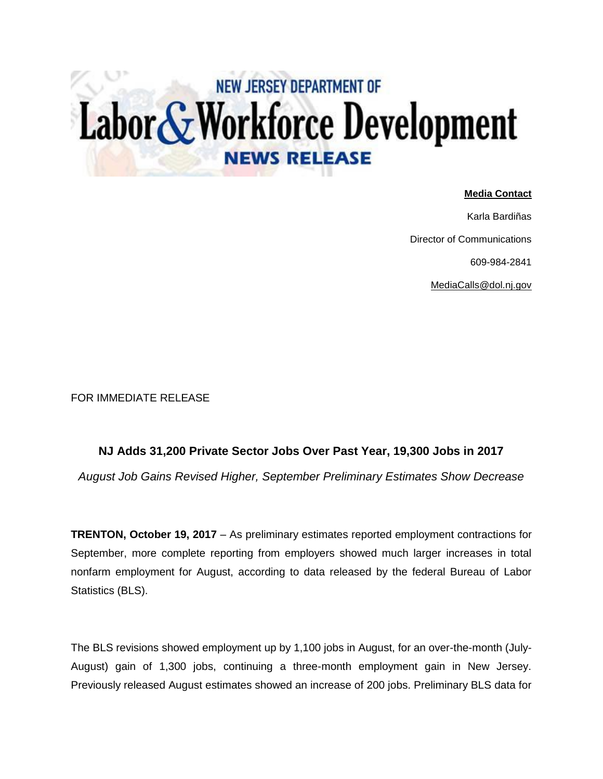## Labor & Workforce Development **NEW JERSEY DEPARTMENT OF**

## **Media Contact**

Karla Bardiñas Director of Communications 609-984-2841 [MediaCalls@dol.nj.gov](mailto:MediaCalls@dol.nj.gov)

FOR IMMEDIATE RELEASE

## **NJ Adds 31,200 Private Sector Jobs Over Past Year, 19,300 Jobs in 2017**

*August Job Gains Revised Higher, September Preliminary Estimates Show Decrease*

**TRENTON, October 19, 2017** – As preliminary estimates reported employment contractions for September, more complete reporting from employers showed much larger increases in total nonfarm employment for August, according to data released by the federal Bureau of Labor Statistics (BLS).

The BLS revisions showed employment up by 1,100 jobs in August, for an over-the-month (July-August) gain of 1,300 jobs, continuing a three-month employment gain in New Jersey. Previously released August estimates showed an increase of 200 jobs. Preliminary BLS data for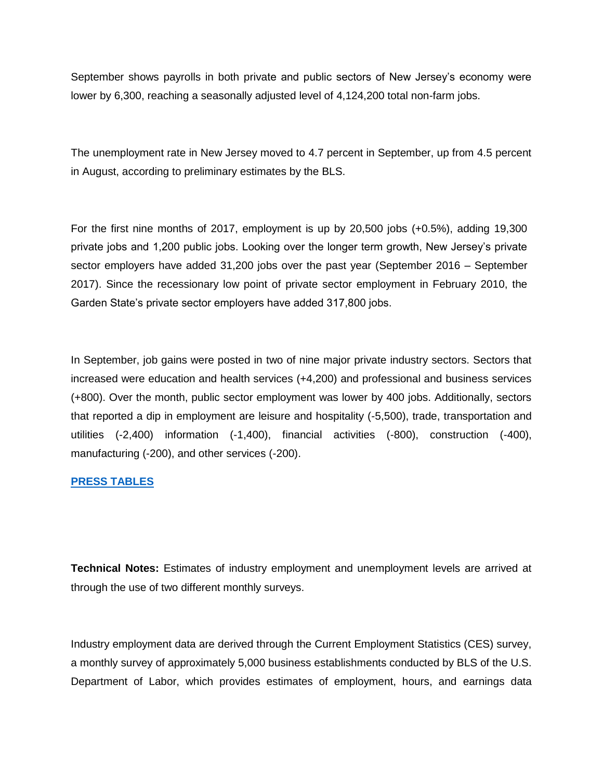September shows payrolls in both private and public sectors of New Jersey's economy were lower by 6,300, reaching a seasonally adjusted level of 4,124,200 total non-farm jobs.

The unemployment rate in New Jersey moved to 4.7 percent in September, up from 4.5 percent in August, according to preliminary estimates by the BLS.

For the first nine months of 2017, employment is up by 20,500 jobs (+0.5%), adding 19,300 private jobs and 1,200 public jobs. Looking over the longer term growth, New Jersey's private sector employers have added 31,200 jobs over the past year (September 2016 – September 2017). Since the recessionary low point of private sector employment in February 2010, the Garden State's private sector employers have added 317,800 jobs.

In September, job gains were posted in two of nine major private industry sectors. Sectors that increased were education and health services (+4,200) and professional and business services (+800). Over the month, public sector employment was lower by 400 jobs. Additionally, sectors that reported a dip in employment are leisure and hospitality (-5,500), trade, transportation and utilities (-2,400) information (-1,400), financial activities (-800), construction (-400), manufacturing (-200), and other services (-200).

## **[PRESS TABLES](http://lwd.dol.state.nj.us/labor/forms_pdfs/lwdhome/press/2017/20171019UITables.pdf)**

**Technical Notes:** Estimates of industry employment and unemployment levels are arrived at through the use of two different monthly surveys.

Industry employment data are derived through the Current Employment Statistics (CES) survey, a monthly survey of approximately 5,000 business establishments conducted by BLS of the U.S. Department of Labor, which provides estimates of employment, hours, and earnings data